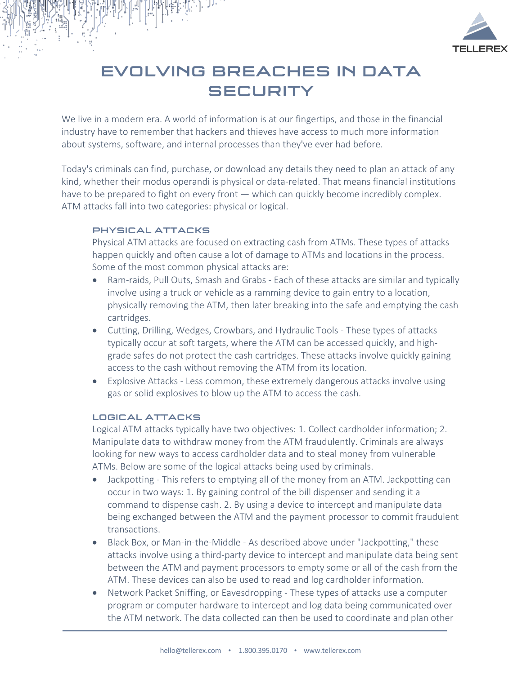

# EVOLVING BREACHES IN DATA **SECURITY**

We live in a modern era. A world of information is at our fingertips, and those in the financial industry have to remember that hackers and thieves have access to much more information about systems, software, and internal processes than they've ever had before.

Today's criminals can find, purchase, or download any details they need to plan an attack of any kind, whether their modus operandi is physical or data-related. That means financial institutions have to be prepared to fight on every front — which can quickly become incredibly complex. ATM attacks fall into two categories: physical or logical.

### PHYSICAL ATTACKS

Physical ATM attacks are focused on extracting cash from ATMs. These types of attacks happen quickly and often cause a lot of damage to ATMs and locations in the process. Some of the most common physical attacks are:

- Ram-raids, Pull Outs, Smash and Grabs Each of these attacks are similar and typically involve using a truck or vehicle as a ramming device to gain entry to a location, physically removing the ATM, then later breaking into the safe and emptying the cash cartridges.
- Cutting, Drilling, Wedges, Crowbars, and Hydraulic Tools These types of attacks typically occur at soft targets, where the ATM can be accessed quickly, and highgrade safes do not protect the cash cartridges. These attacks involve quickly gaining access to the cash without removing the ATM from its location.
- Explosive Attacks Less common, these extremely dangerous attacks involve using gas or solid explosives to blow up the ATM to access the cash.

#### LOGICAL ATTACKS

Logical ATM attacks typically have two objectives: 1. Collect cardholder information; 2. Manipulate data to withdraw money from the ATM fraudulently. Criminals are always looking for new ways to access cardholder data and to steal money from vulnerable ATMs. Below are some of the logical attacks being used by criminals.

- Jackpotting This refers to emptying all of the money from an ATM. Jackpotting can occur in two ways: 1. By gaining control of the bill dispenser and sending it a command to dispense cash. 2. By using a device to intercept and manipulate data being exchanged between the ATM and the payment processor to commit fraudulent transactions.
- Black Box, or Man-in-the-Middle As described above under "Jackpotting," these attacks involve using a third-party device to intercept and manipulate data being sent between the ATM and payment processors to empty some or all of the cash from the ATM. These devices can also be used to read and log cardholder information.
- Network Packet Sniffing, or Eavesdropping These types of attacks use a computer program or computer hardware to intercept and log data being communicated over the ATM network. The data collected can then be used to coordinate and plan other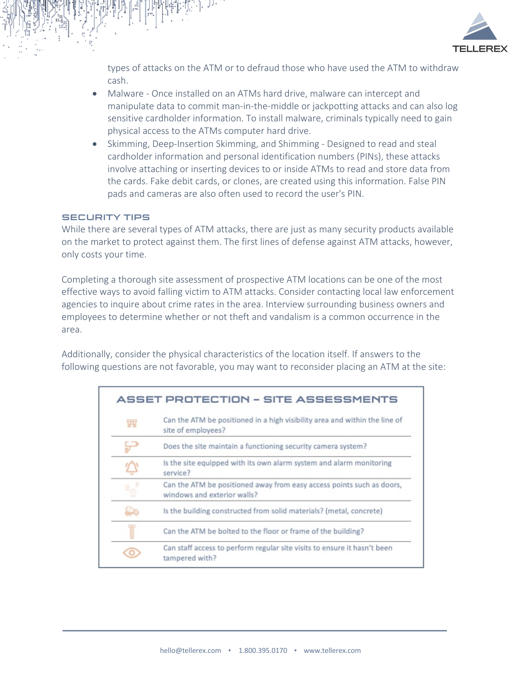

types of attacks on the ATM or to defraud those who have used the ATM to withdraw cash.

- Malware Once installed on an ATMs hard drive, malware can intercept and manipulate data to commit man-in-the-middle or jackpotting attacks and can also log sensitive cardholder information. To install malware, criminals typically need to gain physical access to the ATMs computer hard drive.
- Skimming, Deep-Insertion Skimming, and Shimming Designed to read and steal cardholder information and personal identification numbers (PINs), these attacks involve attaching or inserting devices to or inside ATMs to read and store data from the cards. Fake debit cards, or clones, are created using this information. False PIN pads and cameras are also often used to record the user's PIN.

#### SECURITY TIPS

While there are several types of ATM attacks, there are just as many security products available on the market to protect against them. The first lines of defense against ATM attacks, however, only costs your time.

Completing a thorough site assessment of prospective ATM locations can be one of the most effective ways to avoid falling victim to ATM attacks. Consider contacting local law enforcement agencies to inquire about crime rates in the area. Interview surrounding business owners and employees to determine whether or not theft and vandalism is a common occurrence in the area.

Additionally, consider the physical characteristics of the location itself. If answers to the following questions are not favorable, you may want to reconsider placing an ATM at the site:

|                                      | ASSET PROTECTION - SITE ASSESSMENTS                                                                  |  |
|--------------------------------------|------------------------------------------------------------------------------------------------------|--|
| 甯                                    | Can the ATM be positioned in a high visibility area and within the line of<br>site of employees?     |  |
|                                      | Does the site maintain a functioning security camera system?                                         |  |
|                                      | Is the site equipped with its own alarm system and alarm monitoring<br>service?                      |  |
| $\overline{\mathbb{F}}_{\mathbb{Q}}$ | Can the ATM be positioned away from easy access points such as doors,<br>windows and exterior walls? |  |
| Dε                                   | Is the building constructed from solid materials? (metal, concrete)                                  |  |
|                                      | Can the ATM be bolted to the floor or frame of the building?                                         |  |
|                                      | Can staff access to perform regular site visits to ensure it hasn't been<br>tampered with?           |  |